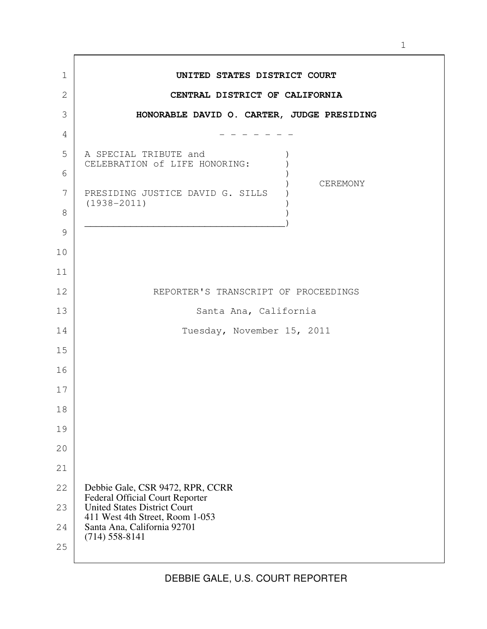| $\mathbf 1$   | UNITED STATES DISTRICT COURT                                               |
|---------------|----------------------------------------------------------------------------|
| 2             | CENTRAL DISTRICT OF CALIFORNIA                                             |
| 3             | HONORABLE DAVID O. CARTER, JUDGE PRESIDING                                 |
| 4             |                                                                            |
| 5             | A SPECIAL TRIBUTE and<br>CELEBRATION of LIFE HONORING:                     |
| 6             |                                                                            |
| 7             | CEREMONY<br>PRESIDING JUSTICE DAVID G. SILLS                               |
| 8             | $(1938 - 2011)$                                                            |
| $\mathcal{G}$ |                                                                            |
| 10            |                                                                            |
| 11            |                                                                            |
| 12            | REPORTER'S TRANSCRIPT OF PROCEEDINGS                                       |
| 13            | Santa Ana, California                                                      |
| 14            | Tuesday, November 15, 2011                                                 |
| 15            |                                                                            |
|               |                                                                            |
| 16            |                                                                            |
| 17            |                                                                            |
| 18            |                                                                            |
| 19            |                                                                            |
| 20            |                                                                            |
| 21            |                                                                            |
| 22            | Debbie Gale, CSR 9472, RPR, CCRR<br><b>Federal Official Court Reporter</b> |
| 23            | <b>United States District Court</b>                                        |
| 24            | 411 West 4th Street, Room 1-053<br>Santa Ana, California 92701             |
| 25            | $(714) 558 - 8141$                                                         |
|               |                                                                            |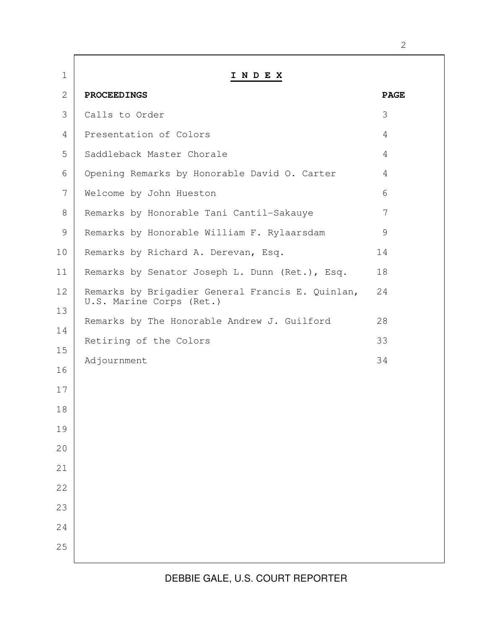| $\mathbf 1$ | INDEX                                                                        |                |
|-------------|------------------------------------------------------------------------------|----------------|
| 2           | <b>PROCEEDINGS</b>                                                           | <b>PAGE</b>    |
| 3           | Calls to Order                                                               | 3              |
| 4           | Presentation of Colors                                                       | 4              |
| 5           | Saddleback Master Chorale                                                    | $\overline{4}$ |
| 6           | Opening Remarks by Honorable David O. Carter                                 | 4              |
| 7           | Welcome by John Hueston                                                      | 6              |
| 8           | Remarks by Honorable Tani Cantil-Sakauye                                     | 7              |
| 9           | Remarks by Honorable William F. Rylaarsdam                                   | 9              |
| 10          | Remarks by Richard A. Derevan, Esq.                                          | 14             |
| 11          | Remarks by Senator Joseph L. Dunn (Ret.), Esq.                               | 18             |
| 12<br>13    | Remarks by Brigadier General Francis E. Quinlan,<br>U.S. Marine Corps (Ret.) | 24             |
| 14          | Remarks by The Honorable Andrew J. Guilford                                  | 28             |
| 15          | Retiring of the Colors                                                       | 33             |
|             | Adjournment                                                                  | 34             |
| 16          |                                                                              |                |
| 17          |                                                                              |                |
| 18          |                                                                              |                |
| 19          |                                                                              |                |
| 20          |                                                                              |                |
| 21          |                                                                              |                |
| 22          |                                                                              |                |
| 23          |                                                                              |                |
| 24          |                                                                              |                |
| 25          |                                                                              |                |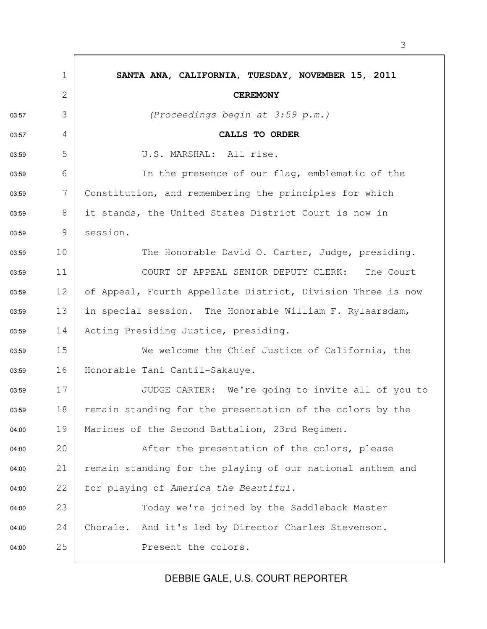|       | $\mathbf 1$  | SANTA ANA, CALIFORNIA, TUESDAY, NOVEMBER 15, 2011           |
|-------|--------------|-------------------------------------------------------------|
|       | $\mathbf{2}$ | <b>CEREMONY</b>                                             |
| 03:57 | 3            | (Proceedings begin at 3:59 p.m.)                            |
| 03:57 | 4            | CALLS TO ORDER                                              |
| 03:59 | 5            | U.S. MARSHAL: All rise.                                     |
| 03:59 | 6            | In the presence of our flaq, emblematic of the              |
| 03:59 | 7            | Constitution, and remembering the principles for which      |
| 03:59 | 8            | it stands, the United States District Court is now in       |
| 03:59 | 9            | session.                                                    |
| 03:59 | 10           | The Honorable David O. Carter, Judge, presiding.            |
| 03:59 | 11           | COURT OF APPEAL SENIOR DEPUTY CLERK:<br>The Court           |
| 03:59 | 12           | of Appeal, Fourth Appellate District, Division Three is now |
| 03:59 | 13           | in special session. The Honorable William F. Rylaarsdam,    |
| 03:59 | 14           | Acting Presiding Justice, presiding.                        |
| 03:59 | 15           | We welcome the Chief Justice of California, the             |
| 03:59 | 16           | Honorable Tani Cantil-Sakauye.                              |
| 03:59 | 17           | JUDGE CARTER: We're going to invite all of you to           |
| 03:59 | 18           | remain standing for the presentation of the colors by the   |
| 04:00 | 19           | Marines of the Second Battalion, 23rd Regimen.              |
| 04:00 | 20           | After the presentation of the colors, please                |
| 04:00 | 21           | remain standing for the playing of our national anthem and  |
| 04:00 | 22           | for playing of America the Beautiful.                       |
| 04:00 | 23           | Today we're joined by the Saddleback Master                 |
| 04:00 | 24           | Chorale. And it's led by Director Charles Stevenson.        |
| 04:00 | 25           | Present the colors.                                         |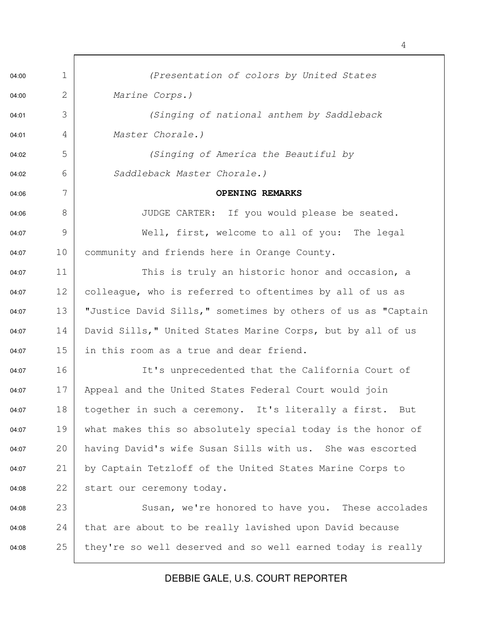04:00 1 | (Presentation of colors by United States 04:00 2 Marine Corps.) 04:01 3 | Ginging of national anthem by Saddleback 04:01 4 Master Chorale.) 04:02 5 | (Singing of America the Beautiful by 04:02 6 | Saddleback Master Chorale.) 04:06 7 **OPENING REMARKS** 04:06 8 | JUDGE CARTER: If you would please be seated. 04:07 9 Well, first, welcome to all of you: The legal 04:07 10 community and friends here in Orange County. 04:07 11 This is truly an historic honor and occasion, a  $04:07$  12 colleague, who is referred to oftentimes by all of us as 04:07 13 | "Justice David Sills," sometimes by others of us as "Captain 04:07 14 David Sills," United States Marine Corps, but by all of us 04:07 15 in this room as a true and dear friend. 04:07 16 It's unprecedented that the California Court of 04:07 17 Appeal and the United States Federal Court would join 04:07 18 together in such a ceremony. It's literally a first. But 04:07 19 what makes this so absolutely special today is the honor of 04:07 20 having David's wife Susan Sills with us. She was escorted 04:07 21 by Captain Tetzloff of the United States Marine Corps to 04:08 22 start our ceremony today. 04:08 23 Susan, we're honored to have you. These accolades 04:08 24 that are about to be really lavished upon David because 04:08 25 they're so well deserved and so well earned today is really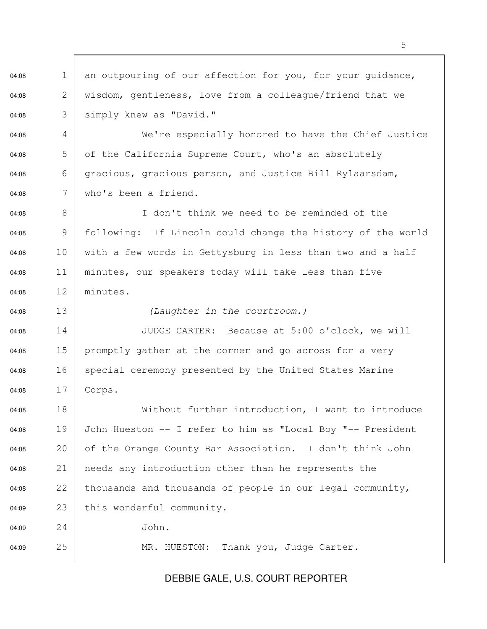04:08 1 an outpouring of our affection for you, for your quidance, 04:08 2 wisdom, gentleness, love from a colleague/friend that we 04:08 3 | simply knew as "David."

04:08 4 We're especially honored to have the Chief Justice 04:08  $\overline{5}$  of the California Supreme Court, who's an absolutely 04:08 6 gracious, gracious person, and Justice Bill Rylaarsdam,  $04:08$  7 who's been a friend.

04:08 8 I don't think we need to be reminded of the 04:08 9 following: If Lincoln could change the history of the world 04:08 10 with a few words in Gettysburg in less than two and a half 04:08 11 minutes, our speakers today will take less than five 04:08 12 minutes.

04:08 13 (Laughter in the courtroom.)

04:08 14 JUDGE CARTER: Because at 5:00 o'clock, we will 04:08 15 promptly gather at the corner and go across for a very 04:08 16 special ceremony presented by the United States Marine 04:08 17 Corps.

04:08 18 | Without further introduction, I want to introduce 04:08 19 John Hueston -- I refer to him as "Local Boy "-- President 04:08 20 of the Orange County Bar Association. I don't think John 04:08 21 | needs any introduction other than he represents the 04:08 22 thousands and thousands of people in our legal community, 04:09 23 this wonderful community. 04:09 24 John.

04:09 25 MR. HUESTON: Thank you, Judge Carter.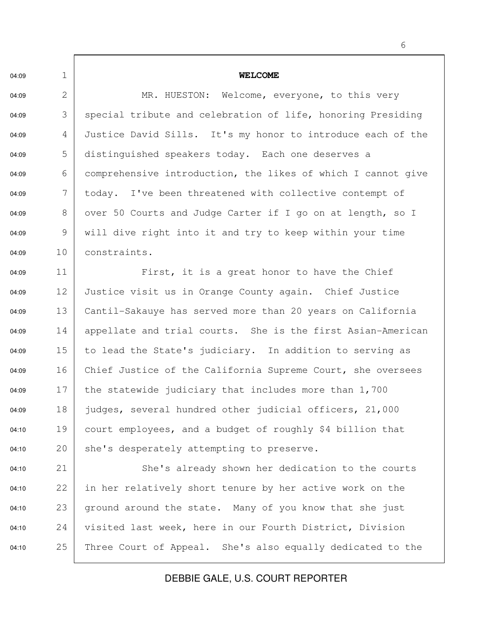04:09 1 **WELCOME** 04:09 2 MR. HUESTON: Welcome, everyone, to this very 04:09 3 | special tribute and celebration of life, honoring Presiding 04:09 4 Justice David Sills. It's my honor to introduce each of the 04:09 5 distinguished speakers today. Each one deserves a 04:09 6 comprehensive introduction, the likes of which I cannot give 04:09  $\begin{array}{c|c} \hline 7 & \text{today.} \end{array}$  I've been threatened with collective contempt of 04:09 8 over 50 Courts and Judge Carter if I go on at length, so I 04:09 9 | will dive right into it and try to keep within your time 04:09 10 constraints. 04:09 11 First, it is a great honor to have the Chief 04:09 12 Justice visit us in Orange County again. Chief Justice 04:09 13 Cantil-Sakauye has served more than 20 years on California 04:09 14 appellate and trial courts. She is the first Asian-American 04:09 15 to lead the State's judiciary. In addition to serving as 04:09 16 Chief Justice of the California Supreme Court, she oversees 04:09 17 the statewide judiciary that includes more than  $1,700$ 04:09 18 judges, several hundred other judicial officers, 21,000 04:10 19 court employees, and a budget of roughly \$4 billion that 04:10 20 she's desperately attempting to preserve. 04:10 21 She's already shown her dedication to the courts 04:10 22 in her relatively short tenure by her active work on the  $04:10$  23 ground around the state. Many of you know that she just 04:10 24 visited last week, here in our Fourth District, Division 04:10 25 Three Court of Appeal. She's also equally dedicated to the

DEBBIE GALE, U.S. COURT REPORTER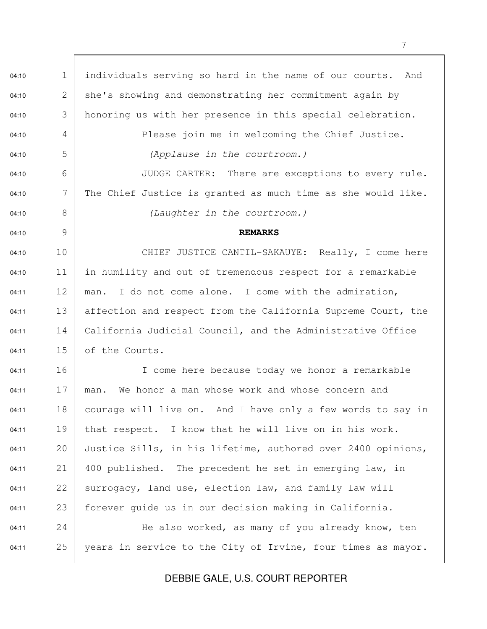04:10 1 | individuals serving so hard in the name of our courts. And 04:10 2 she's showing and demonstrating her commitment again by 04:10 3 honoring us with her presence in this special celebration. 04:10 4 Please join me in welcoming the Chief Justice. 04:10 5 | (Applause in the courtroom.) 04:10 6 | JUDGE CARTER: There are exceptions to every rule. 04:10  $7$  The Chief Justice is granted as much time as she would like. 04:10 8 | Claughter in the courtroom.) 04:10 9 **REMARKS** 04:10 10 CHIEF JUSTICE CANTIL-SAKAUYE: Really, I come here  $04:10$  11 in humility and out of tremendous respect for a remarkable 04:11  $12 \mid$  man. I do not come alone. I come with the admiration, 04:11 13 affection and respect from the California Supreme Court, the 04:11 14 | California Judicial Council, and the Administrative Office 04:11 15 of the Courts. 04:11 16 | I come here because today we honor a remarkable  $04:11$  17 man. We honor a man whose work and whose concern and  $04:11$  18 courage will live on. And I have only a few words to say in 04:11 19 that respect. I know that he will live on in his work. 04:11 20 Justice Sills, in his lifetime, authored over 2400 opinions,  $04:11$  21 400 published. The precedent he set in emerging law, in 04:11  $22$  surrogacy, land use, election law, and family law will 04:11 23 forever guide us in our decision making in California.  $04:11$  24 He also worked, as many of you already know, ten 04:11 25 years in service to the City of Irvine, four times as mayor.

DEBBIE GALE, U.S. COURT REPORTER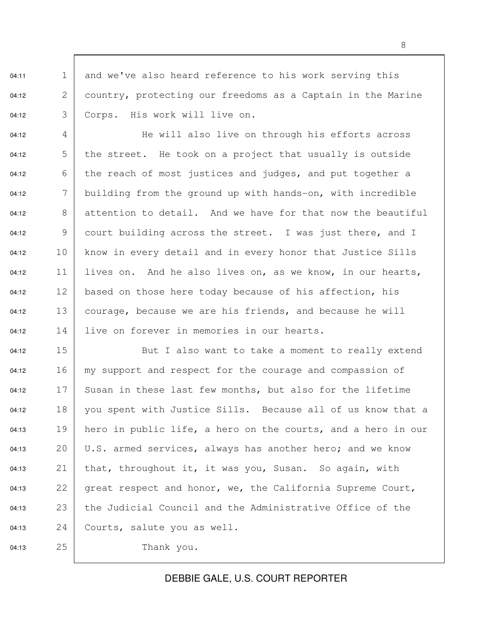04:11 1 and we've also heard reference to his work serving this 04:12 2 country, protecting our freedoms as a Captain in the Marine 04:12 3 | Corps. His work will live on.

04:12 4 He will also live on through his efforts across 04:12  $\overline{5}$  the street. He took on a project that usually is outside 04:12  $\begin{array}{c|c|c|c|c|c} \hline \text{6} & \text{the reach of most justices and judges, and put together a} \end{array}$ 04:12  $\boxed{7}$  building from the ground up with hands-on, with incredible 04:12  $\begin{array}{|l|} 8 & \text{attention to detail.} \end{array}$  And we have for that now the beautiful 04:12 9 court building across the street. I was just there, and I 04:12 10 know in every detail and in every honor that Justice Sills 04:12 11 lives on. And he also lives on, as we know, in our hearts,  $04:12$  12 based on those here today because of his affection, his 04:12 13 courage, because we are his friends, and because he will 04:12 14 live on forever in memories in our hearts.

04:12 15 But I also want to take a moment to really extend 04:12 16  $\vert$  my support and respect for the courage and compassion of 04:12  $17$  Susan in these last few months, but also for the lifetime 04:12  $18$  you spent with Justice Sills. Because all of us know that a  $04:13$  19 hero in public life, a hero on the courts, and a hero in our 04:13 20 U.S. armed services, always has another hero; and we know 04:13 21 | that, throughout it, it was you, Susan. So again, with 04:13 22 great respect and honor, we, the California Supreme Court, 04:13 23 the Judicial Council and the Administrative Office of the 04:13 24 Courts, salute you as well. 04:13 25 Thank you.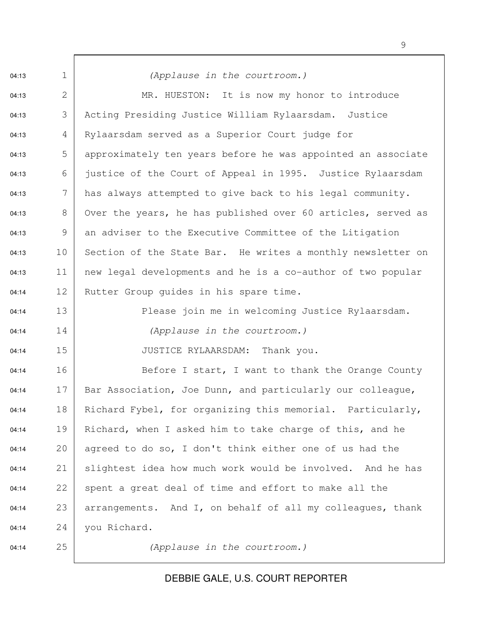04:13 1 | (Applause in the courtroom.) 04:13 2 MR. HUESTON: It is now my honor to introduce 04:13 3 Acting Presiding Justice William Rylaarsdam. Justice 04:13 4 Rylaarsdam served as a Superior Court judge for 04:13 5 approximately ten years before he was appointed an associate 04:13 6 justice of the Court of Appeal in 1995. Justice Rylaarsdam 04:13  $\vert$  has always attempted to give back to his legal community. 04:13  $\begin{array}{c|c} 8 & \text{Over the years, he has published over 60 articles, served as} \end{array}$  $04:13$  9 an adviser to the Executive Committee of the Litigation 04:13 10 Section of the State Bar. He writes a monthly newsletter on 04:13 11 new legal developments and he is a co-author of two popular 04:14 12 Rutter Group guides in his spare time. 04:14 13 Please join me in welcoming Justice Rylaarsdam. 04:14 14 (Applause in the courtroom.) 04:14 15 JUSTICE RYLAARSDAM: Thank you. 04:14 16 Before I start, I want to thank the Orange County 04:14  $17$  Bar Association, Joe Dunn, and particularly our colleague, 04:14 18 | Richard Fybel, for organizing this memorial. Particularly, 04:14 19 Richard, when I asked him to take charge of this, and he 04:14 20 agreed to do so, I don't think either one of us had the 04:14 21 | slightest idea how much work would be involved. And he has  $04:14$  22 spent a great deal of time and effort to make all the 04:14 23 arrangements. And I, on behalf of all my colleagues, thank 04:14 24 you Richard. 04:14 25 (Applause in the courtroom.)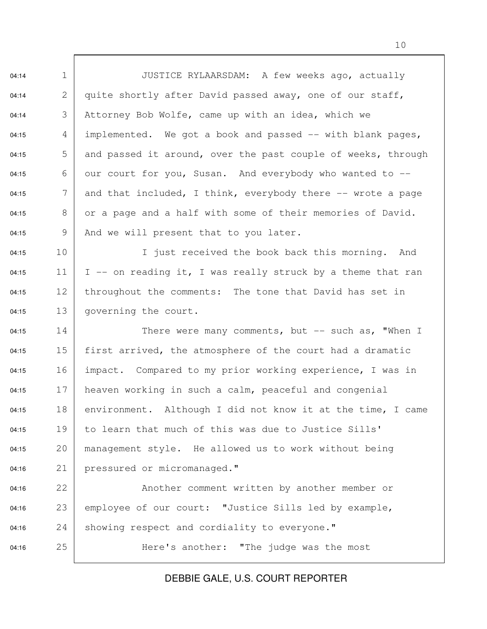04:14 1 JUSTICE RYLAARSDAM: A few weeks ago, actually 04:14 2 quite shortly after David passed away, one of our staff, 04:14  $\begin{array}{c|c} 3 & \text{Attorney Bob Wolfe, came up with an idea, which we} \end{array}$ 04:15  $\begin{array}{c|c} 4 & \text{implemented.} \end{array}$  We got a book and passed -- with blank pages, 04:15  $\overline{5}$  and passed it around, over the past couple of weeks, through 04:15 6 our court for you, Susan. And everybody who wanted to  $-$ 04:15  $\begin{array}{|l|} \hline \end{array}$  7 and that included, I think, everybody there -- wrote a page 04:15  $\begin{array}{|l|} 8 & \text{or a page and a half with some of their memories of David.} \end{array}$ 04:15 9 And we will present that to you later. 04:15 10 I just received the book back this morning. And 04:15 11 | I -- on reading it, I was really struck by a theme that ran 04:15 12 | throughout the comments: The tone that David has set in 04:15 13 governing the court. 04:15  $14$  There were many comments, but  $-$  such as, "When I 04:15 15 first arrived, the atmosphere of the court had a dramatic 04:15 16 | impact. Compared to my prior working experience, I was in 04:15  $17$  heaven working in such a calm, peaceful and congenial 04:15 18 environment. Although I did not know it at the time, I came 04:15  $19$  to learn that much of this was due to Justice Sills' 04:15 20 management style. He allowed us to work without being 04:16 21 | pressured or micromanaged." 04:16 22 Another comment written by another member or 04:16 23 employee of our court: "Justice Sills led by example,  $04:16$  24 showing respect and cordiality to everyone." 04:16 25 Here's another: "The judge was the most

DEBBIE GALE, U.S. COURT REPORTER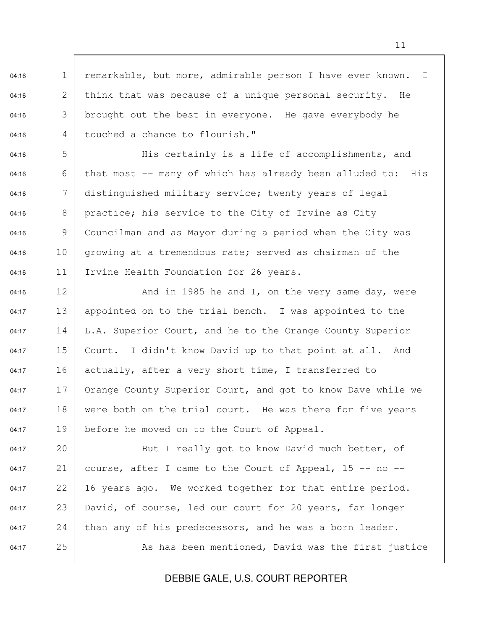04:16 1 remarkable, but more, admirable person I have ever known. I  $04:16$  2 think that was because of a unique personal security. He 04:16  $\vert$  3 brought out the best in everyone. He gave everybody he 04:16 4 touched a chance to flourish."

04:16  $\overline{5}$   $\overline{5}$  His certainly is a life of accomplishments, and 04:16  $\begin{array}{c|c} 6 & \text{that most } \text{-}- \text{ many of which has already been alluded to: His} \end{array}$ 04:16  $\begin{array}{c|c} 7 & \text{distinguished military service; twenty years of legal} \end{array}$ 04:16  $8 \mid$  practice; his service to the City of Irvine as City 04:16  $\Box$  9 | Councilman and as Mayor during a period when the City was 04:16 10 growing at a tremendous rate; served as chairman of the 04:16 11 Irvine Health Foundation for 26 years.

04:16 12  $\vert$  and in 1985 he and I, on the very same day, were 04:17 13 appointed on to the trial bench. I was appointed to the 04:17 14 L.A. Superior Court, and he to the Orange County Superior 04:17  $15$  Court. I didn't know David up to that point at all. And 04:17 16 actually, after a very short time, I transferred to 04:17  $17$  Orange County Superior Court, and got to know Dave while we  $04:17$  18 were both on the trial court. He was there for five years 04:17 19 before he moved on to the Court of Appeal.

04:17 20 But I really got to know David much better, of 04:17 21 course, after I came to the Court of Appeal, 15 -- no -- $04:17$  22 | 16 years ago. We worked together for that entire period. 04:17 23 David, of course, led our court for 20 years, far longer  $04:17$  24 than any of his predecessors, and he was a born leader. 04:17 25 As has been mentioned, David was the first justice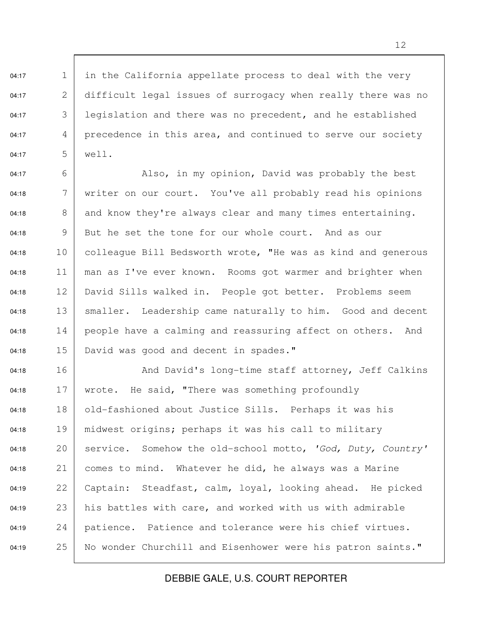$04:17$  1 in the California appellate process to deal with the very 04:17 2 difficult legal issues of surrogacy when really there was no 04:17  $\begin{array}{|l|} \hline \end{array}$  3 legislation and there was no precedent, and he established 04:17  $\begin{array}{c|c} 4 & \text{precedence} \end{array}$  in this area, and continued to serve our society 04:17 5 well.

04:17  $\begin{array}{c|c|c|c|c|c} \hline \text{6} & \text{Also, in my opinion, David was probably the best} \end{array}$  $04:18$  7 writer on our court. You've all probably read his opinions 04:18  $\begin{array}{|l|} 8 & \text{and know they're always clear and many times entertaining.} \end{array}$  $04:18$  9 But he set the tone for our whole court. And as our 04:18 10 | colleague Bill Bedsworth wrote, "He was as kind and generous 04:18 11 | man as I've ever known. Rooms got warmer and brighter when 04:18 12 David Sills walked in. People got better. Problems seem 04:18 13 | smaller. Leadership came naturally to him. Good and decent  $04:18$  14 people have a calming and reassuring affect on others. And 04:18 15 David was good and decent in spades."

04:18 16 | Rnd David's long-time staff attorney, Jeff Calkins 04:18  $17$  wrote. He said, "There was something profoundly 04:18 18 old-fashioned about Justice Sills. Perhaps it was his 04:18 19 | midwest origins; perhaps it was his call to military 04:18 20 | service. Somehow the old-school motto, 'God, Duty, Country' 04:18  $21$  comes to mind. Whatever he did, he always was a Marine 04:19 22 Captain: Steadfast, calm, loyal, looking ahead. He picked 04:19  $23$  his battles with care, and worked with us with admirable  $04:19$  24 patience. Patience and tolerance were his chief virtues. 04:19 25 No wonder Churchill and Eisenhower were his patron saints."

DEBBIE GALE, U.S. COURT REPORTER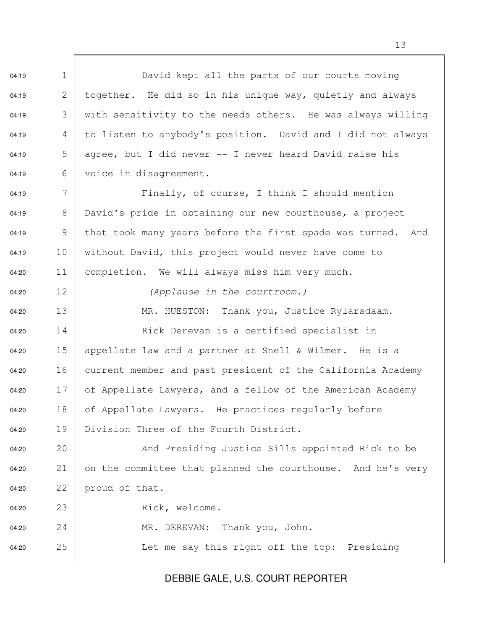04:19 1 David kept all the parts of our courts moving 04:19  $\vert$  2 together. He did so in his unique way, quietly and always 04:19  $\begin{array}{c|c} 3 & \text{with sensitivity to the needs others.} \end{array}$  He was always willing 04:19  $\begin{array}{c|c} 4 & \text{to listen to anybody's position.} \end{array}$  David and I did not always 04:19  $\begin{array}{|l|} 5 & \text{agree, but I did never -- I never heard David raise his} \end{array}$ 04:19 6 voice in disagreement. 04:19 7 Finally, of course, I think I should mention 04:19 8 David's pride in obtaining our new courthouse, a project 04:19 9 | that took many years before the first spade was turned. And 04:19 10 without David, this project would never have come to 04:20 11 completion. We will always miss him very much. 04:20 12 (Applause in the courtroom.) 04:20 13 MR. HUESTON: Thank you, Justice Rylarsdaam. 04:20 14 Rick Derevan is a certified specialist in 04:20 15 appellate law and a partner at Snell & Wilmer. He is a 04:20 16 current member and past president of the California Academy 04:20 17 of Appellate Lawyers, and a fellow of the American Academy 04:20 18 of Appellate Lawyers. He practices regularly before 04:20 19 Division Three of the Fourth District. 04:20 20 And Presiding Justice Sills appointed Rick to be 04:20 21 on the committee that planned the courthouse. And he's very 04:20 22 proud of that. 04:20 23 Rick, welcome. 04:20 24 MR. DEREVAN: Thank you, John. 04:20 25 Let me say this right off the top: Presiding

## DEBBIE GALE, U.S. COURT REPORTER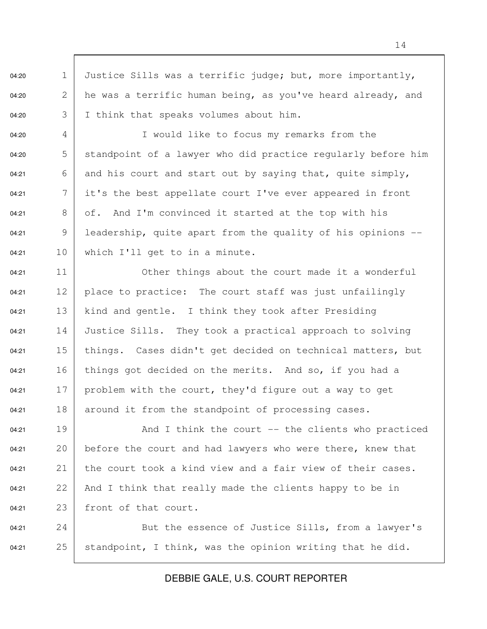04:20 1 Justice Sills was a terrific judge; but, more importantly, 04:20  $\begin{array}{|l|} 2 & \text{he was a terrific human being, as you've heard already, and} \end{array}$ 04:20 3 I think that speaks volumes about him.

04:20 4 I would like to focus my remarks from the 04:20  $\overline{5}$  standpoint of a lawyer who did practice regularly before him 04:21 6 | and his court and start out by saying that, quite simply, 04:21  $7 \mid$  it's the best appellate court I've ever appeared in front 04:21  $\vert$  8 of. And I'm convinced it started at the top with his 04:21 9 | leadership, quite apart from the quality of his opinions  $04:21$  10 which I'll get to in a minute.

 $04:21$  11 Other things about the court made it a wonderful 04:21 12 | place to practice: The court staff was just unfailingly 04:21  $13$  kind and gentle. I think they took after Presiding 04:21 14 Justice Sills. They took a practical approach to solving 04:21 15 things. Cases didn't get decided on technical matters, but 04:21 16 things got decided on the merits. And so, if you had a 04:21 17 | problem with the court, they'd figure out a way to get  $04:21$  18 around it from the standpoint of processing cases.

04:21  $19$   $\vert$  And I think the court -- the clients who practiced 04:21 20 before the court and had lawyers who were there, knew that 04:21 21 the court took a kind view and a fair view of their cases. 04:21 22 And I think that really made the clients happy to be in 04:21 23 front of that court.

04:21 24 But the essence of Justice Sills, from a lawyer's 04:21 25 standpoint, I think, was the opinion writing that he did.

DEBBIE GALE, U.S. COURT REPORTER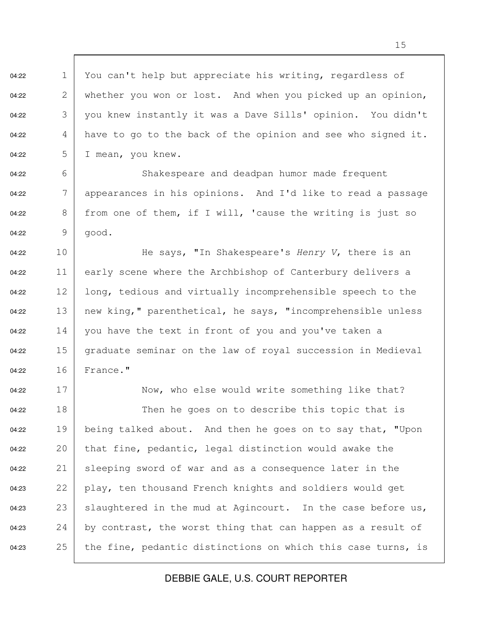04:22 1 You can't help but appreciate his writing, regardless of 04:22 2 whether you won or lost. And when you picked up an opinion, 04:22 3 you knew instantly it was a Dave Sills' opinion. You didn't 04:22  $\begin{array}{c|c} 4 & \text{have to go to the back of the opinion and see who signed it.} \end{array}$ 04:22  $5 \mid$  I mean, you knew. 04:22 6 Shakespeare and deadpan humor made frequent 04:22  $\blacksquare$  7 appearances in his opinions. And I'd like to read a passage 04:22  $\begin{array}{c|c} 8 & \text{from one of them, if I will, 'cause the writing is just so} \end{array}$ 04:22 9 good. 04:22 10 He says, "In Shakespeare's Henry V, there is an 04:22 11 early scene where the Archbishop of Canterbury delivers a 04:22 12 long, tedious and virtually incomprehensible speech to the 04:22 13 | new king," parenthetical, he says, "incomprehensible unless 04:22 14 you have the text in front of you and you've taken a 04:22  $15$  graduate seminar on the law of royal succession in Medieval 04:22 16 France." 04:22 17 Now, who else would write something like that? 04:22 18 Then he goes on to describe this topic that is 04:22 19 being talked about. And then he goes on to say that, "Upon 04:22 20 that fine, pedantic, legal distinction would awake the 04:22 21 sleeping sword of war and as a consequence later in the 04:23 22 play, ten thousand French knights and soldiers would get 04:23 23 slaughtered in the mud at Agincourt. In the case before us, 04:23 24 by contrast, the worst thing that can happen as a result of 04:23 25 the fine, pedantic distinctions on which this case turns, is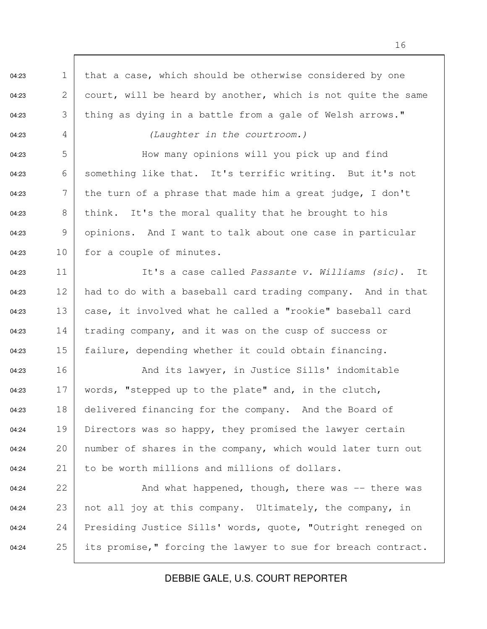04:23 1 that a case, which should be otherwise considered by one 04:23 2 court, will be heard by another, which is not quite the same 04:23  $\vert$  thing as dying in a battle from a gale of Welsh arrows." 04:23 4 (Laughter in the courtroom.) 04:23 5 How many opinions will you pick up and find 04:23 6 something like that. It's terrific writing. But it's not 04:23  $\begin{array}{c|c} \n7 & \text{the turn of a phrase that made him a great judge, I don't}\n\end{array}$ 04:23  $\begin{array}{c|c} 8 & \text{think.} \end{array}$  It's the moral quality that he brought to his 04:23 9 opinions. And I want to talk about one case in particular 04:23 10 for a couple of minutes. 04:23  $11$  It's a case called Passante v. Williams (sic). It 04:23 12 had to do with a baseball card trading company. And in that 04:23 13 case, it involved what he called a "rookie" baseball card 04:23 14  $\vert$  trading company, and it was on the cusp of success or 04:23 15 failure, depending whether it could obtain financing. 04:23 16 And its lawyer, in Justice Sills' indomitable 04:23 17 | words, "stepped up to the plate" and, in the clutch, 04:23 18 delivered financing for the company. And the Board of 04:24 19 Directors was so happy, they promised the lawyer certain 04:24 20 | number of shares in the company, which would later turn out 04:24 21 to be worth millions and millions of dollars. 04:24  $22$  And what happened, though, there was  $-$  there was 04:24 23 | not all joy at this company. Ultimately, the company, in 04:24 24 Presiding Justice Sills' words, quote, "Outright reneged on 04:24 25 its promise," forcing the lawyer to sue for breach contract.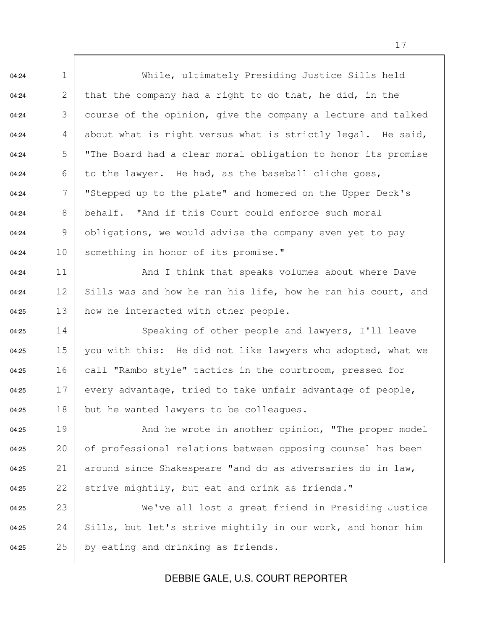04:24 1 While, ultimately Presiding Justice Sills held 04:24 2 that the company had a right to do that, he did, in the 04:24  $\begin{array}{|l|}3 & \text{course of the opinion, give the company a lecture and talked}\end{array}$ 04:24 4 about what is right versus what is strictly legal. He said, 04:24  $\overline{5}$  "The Board had a clear moral obligation to honor its promise 04:24  $\qquad \qquad$  6 to the lawyer. He had, as the baseball cliche goes, 04:24 7 | "Stepped up to the plate" and homered on the Upper Deck's 04:24  $\begin{array}{c|c} 8 & \text{behalf.} \end{array}$  "And if this Court could enforce such moral 04:24 9 | obligations, we would advise the company even yet to pay 04:24 10 something in honor of its promise." 04:24 11 1 And I think that speaks volumes about where Dave 04:24 12 Sills was and how he ran his life, how he ran his court, and  $04:25$  13 how he interacted with other people. 04:25 14 Speaking of other people and lawyers, I'll leave 04:25 15 you with this: He did not like lawyers who adopted, what we 04:25 16 call "Rambo style" tactics in the courtroom, pressed for 04:25 17 every advantage, tried to take unfair advantage of people, 04:25 18 but he wanted lawyers to be colleagues. 04:25 19 And he wrote in another opinion, "The proper model 04:25 20 of professional relations between opposing counsel has been 04:25 21 around since Shakespeare "and do as adversaries do in law, 04:25 22 strive mightily, but eat and drink as friends." 04:25 23 We've all lost a great friend in Presiding Justice 04:25 24 Sills, but let's strive mightily in our work, and honor him 04:25 25 by eating and drinking as friends.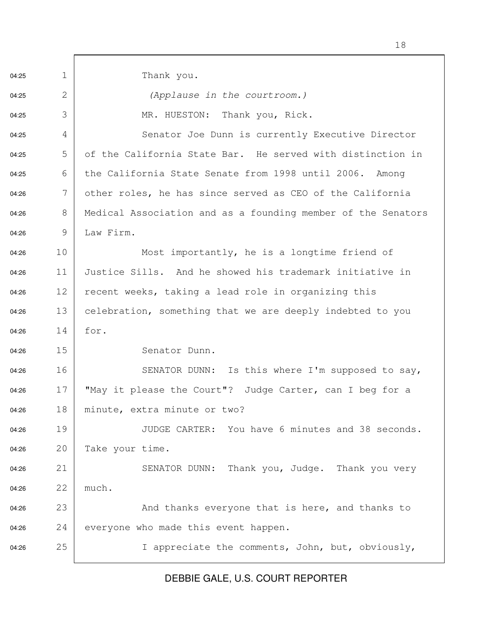04:25 1 Thank you. 04:25 2 | (Applause in the courtroom.) 04:25 3 MR. HUESTON: Thank you, Rick. 04:25 4 Senator Joe Dunn is currently Executive Director 04:25  $\overline{5}$  of the California State Bar. He served with distinction in 04:25 6 the California State Senate from 1998 until 2006. Among 04:26  $7$  other roles, he has since served as CEO of the California 04:26 8 Medical Association and as a founding member of the Senators 04:26 9 Law Firm. 04:26 10 Most importantly, he is a longtime friend of 04:26 11 Justice Sills. And he showed his trademark initiative in 04:26 12 recent weeks, taking a lead role in organizing this 04:26 13 celebration, something that we are deeply indebted to you 04:26 14 for. 04:26 15 Senator Dunn. 04:26 16 SENATOR DUNN: Is this where I'm supposed to say, 04:26 17 "May it please the Court"? Judge Carter, can I beg for a 04:26 18 minute, extra minute or two? 04:26 19 JUDGE CARTER: You have 6 minutes and 38 seconds. 04:26 20 Take your time. 04:26 21 SENATOR DUNN: Thank you, Judge. Thank you very 04:26 22 much. 04:26 23 And thanks everyone that is here, and thanks to  $04:26$  24 everyone who made this event happen. 04:26 25 I appreciate the comments, John, but, obviously,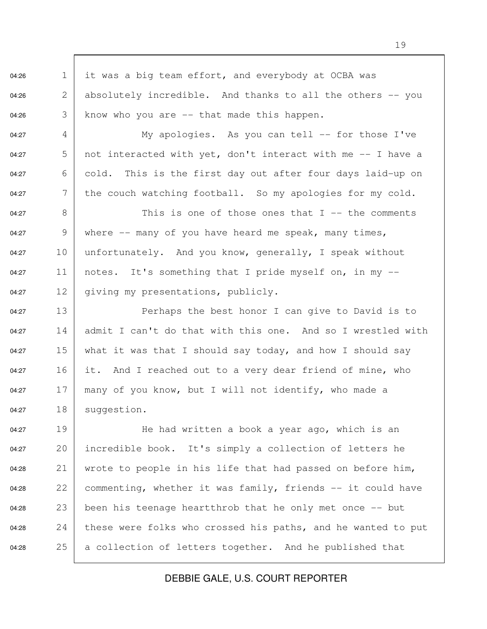04:26 1 it was a big team effort, and everybody at OCBA was 04:26  $\begin{array}{|l|} 2 & \text{absolutely} \end{array}$  incredible. And thanks to all the others -- you 04:26  $\begin{array}{|l|} 3 & \text{know who you are -- that made this happen.} \end{array}$ 04:27  $\begin{array}{c|c|c|c|c|c|c|c|c} \hline \end{array}$  My apologies. As you can tell -- for those I've 04:27  $\overline{5}$  not interacted with yet, don't interact with me  $-$  I have a 04:27 6 cold. This is the first day out after four days laid-up on 04:27  $\blacksquare$  7 the couch watching football. So my apologies for my cold. 04:27 8 This is one of those ones that I -- the comments 04:27 9 | where  $-$  many of you have heard me speak, many times, 04:27 10 unfortunately. And you know, generally, I speak without 04:27 11 | notes. It's something that I pride myself on, in my  $-$ 04:27 12 giving my presentations, publicly. 04:27 13 | Perhaps the best honor I can give to David is to 04:27 14 admit I can't do that with this one. And so I wrestled with 04:27 15 what it was that I should say today, and how I should say 04:27 16 it. And I reached out to a very dear friend of mine, who 04:27 17 many of you know, but I will not identify, who made a 04:27 18 suggestion.

04:27 19 He had written a book a year ago, which is an 04:27 20 incredible book. It's simply a collection of letters he 04:28 21 wrote to people in his life that had passed on before him, 04:28 22 commenting, whether it was family, friends  $-$  it could have 04:28 23 been his teenage heartthrob that he only met once  $-$  but 04:28 24 these were folks who crossed his paths, and he wanted to put 04:28  $25$  a collection of letters together. And he published that

## DEBBIE GALE, U.S. COURT REPORTER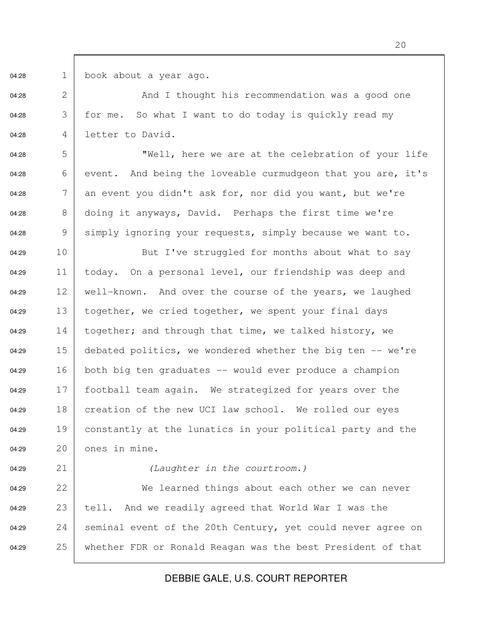04:28 1 book about a year ago.

04:28 2 And I thought his recommendation was a good one 04:28 3 for me. So what I want to do today is quickly read my 04:28 4 letter to David.

04:28  $\qquad 5$  | Well, here we are at the celebration of your life 04:28  $\qquad \qquad 6$  event. And being the loveable curmudgeon that you are, it's 04:28  $\begin{array}{c|c} \hline \end{array}$  7 an event you didn't ask for, nor did you want, but we're 04:28  $8 \mid$  doing it anyways, David. Perhaps the first time we're 04:28 9 simply ignoring your requests, simply because we want to.

04:29 10 But I've struggled for months about what to say 04:29 11 today. On a personal level, our friendship was deep and 04:29 12 well-known. And over the course of the years, we laughed 04:29 13 together, we cried together, we spent your final days 04:29 14 together; and through that time, we talked history, we 04:29 15 debated politics, we wondered whether the big ten  $-$  we're 04:29 16 both big ten graduates -- would ever produce a champion 04:29 17 football team again. We strategized for years over the 04:29 18 creation of the new UCI law school. We rolled our eyes 04:29 19 constantly at the lunatics in your political party and the  $04:29$  20 ones in mine.

04:29 21 (Laughter in the courtroom.)

04:29 22 We learned things about each other we can never 04:29 23 tell. And we readily agreed that World War I was the 04:29 24 | seminal event of the 20th Century, yet could never agree on 04:29 25 whether FDR or Ronald Reagan was the best President of that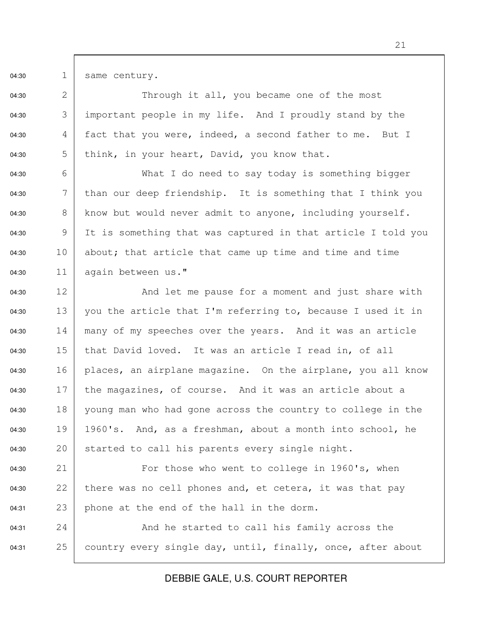04:30 1 same century.

04:30 2 Through it all, you became one of the most 04:30  $\qquad$  3 important people in my life. And I proudly stand by the 04:30  $\begin{array}{c|c} 4 & \text{fact that you were, indeed, a second father to me. But I} \end{array}$ 04:30  $\overline{5}$  think, in your heart, David, you know that.

04:30 6 What I do need to say today is something bigger 04:30  $\mid$  than our deep friendship. It is something that I think you 04:30 8 | know but would never admit to anyone, including yourself. 04:30 9 It is something that was captured in that article I told you 04:30 10 about; that article that came up time and time and time  $04:30$  11 again between us."

04:30 12 And let me pause for a moment and just share with 04:30 13 vou the article that I'm referring to, because I used it in 04:30 14 many of my speeches over the years. And it was an article 04:30  $15$  that David loved. It was an article I read in, of all 04:30 16 | places, an airplane magazine. On the airplane, you all know 04:30  $17$  the magazines, of course. And it was an article about a 04:30 18 young man who had gone across the country to college in the 04:30 19 1960's. And, as a freshman, about a month into school, he 04:30 20 started to call his parents every single night.

04:30 21 For those who went to college in 1960's, when 04:30 22 there was no cell phones and, et cetera, it was that pay 04:31 23 phone at the end of the hall in the dorm.

04:31 24 And he started to call his family across the 04:31 25 country every single day, until, finally, once, after about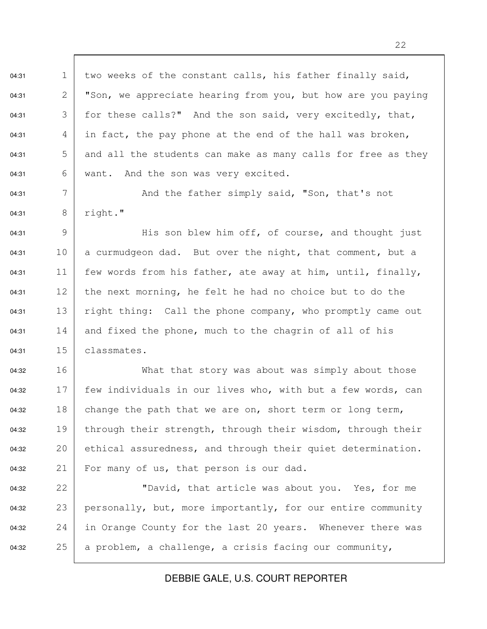04:31 1 two weeks of the constant calls, his father finally said, 04:31 2 | "Son, we appreciate hearing from you, but how are you paying 04:31  $\overline{3}$  for these calls?" And the son said, very excitedly, that, 04:31 4 in fact, the pay phone at the end of the hall was broken, 04:31  $\overline{5}$  and all the students can make as many calls for free as they 04:31 6 | want. And the son was very excited.

04:31 7 And the father simply said, "Son, that's not 04:31 8 right."

04:31 9  $\vert$  His son blew him off, of course, and thought just 04:31 10 a curmudgeon dad. But over the night, that comment, but a 04:31 11 few words from his father, ate away at him, until, finally, 04:31 12 the next morning, he felt he had no choice but to do the 04:31 13 right thing: Call the phone company, who promptly came out 04:31  $14$  and fixed the phone, much to the chagrin of all of his 04:31 15 classmates.

04:32 16 What that story was about was simply about those 04:32 17 few individuals in our lives who, with but a few words, can 04:32 18 change the path that we are on, short term or long term, 04:32 19 through their strength, through their wisdom, through their 04:32 20 ethical assuredness, and through their quiet determination. 04:32 21 For many of us, that person is our dad.

04:32 22 "David, that article was about you. Yes, for me 04:32 23 | personally, but, more importantly, for our entire community 04:32 24 in Orange County for the last 20 years. Whenever there was 04:32 25 a problem, a challenge, a crisis facing our community,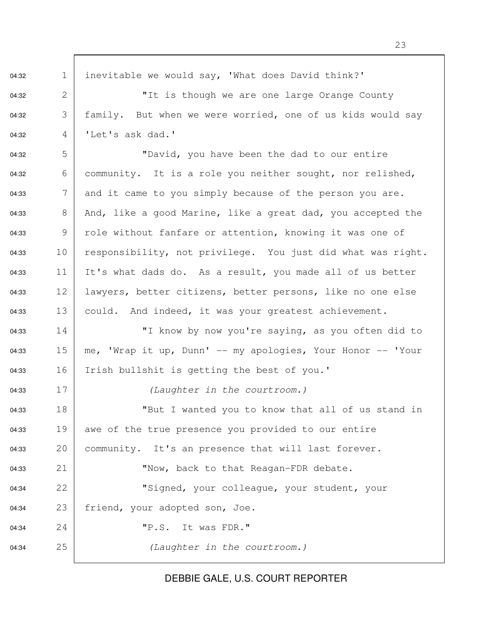04:32 1 inevitable we would say, 'What does David think?' 04:32 2 | The is though we are one large Orange County 04:32  $\mid$  family. But when we were worried, one of us kids would say 04:32 4 'Let's ask dad.' 04:32 5 "David, you have been the dad to our entire 04:32 6 community. It is a role you neither sought, nor relished, 04:33  $\overline{7}$  and it came to you simply because of the person you are. 04:33  $\begin{array}{|l|} 8 & \text{And, like a good Marine, like a great dad, you accepted the} \end{array}$ 04:33 9 role without fanfare or attention, knowing it was one of 04:33 10 responsibility, not privilege. You just did what was right. 04:33 11 It's what dads do. As a result, you made all of us better 04:33 12 lawyers, better citizens, better persons, like no one else 04:33 13 could. And indeed, it was your greatest achievement. 04:33 14 "I know by now you're saying, as you often did to 04:33 15 | me, 'Wrap it up, Dunn'  $-$  my apologies, Your Honor  $-$  'Your 04:33 16 Irish bullshit is getting the best of you.' 04:33 17 (Laughter in the courtroom.) 04:33 18 "But I wanted you to know that all of us stand in 04:33 19 awe of the true presence you provided to our entire 04:33 20 community. It's an presence that will last forever. 04:33 21 Wow, back to that Reagan-FDR debate. 04:34 22 "Signed, your colleague, your student, your 04:34 23 friend, your adopted son, Joe. 04:34 24 | P.S. It was FDR." 04:34 25 (Laughter in the courtroom.)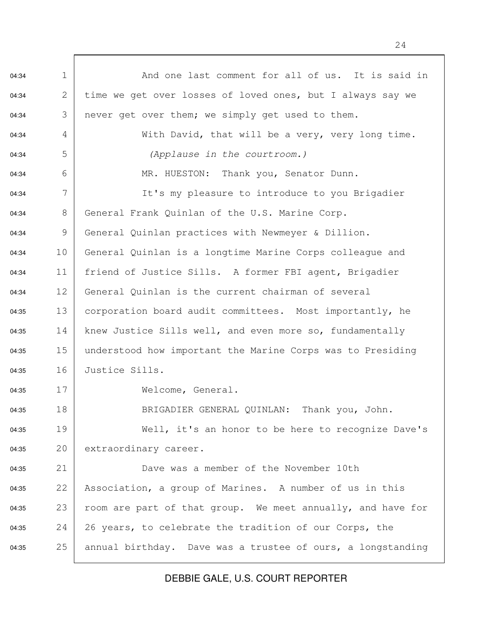04:34 1 | And one last comment for all of us. It is said in 04:34 2 time we get over losses of loved ones, but I always say we 04:34 3 never get over them; we simply get used to them. 04:34  $\begin{array}{c|c} 4 & \text{With David, that will be a very, very long time.} \end{array}$ 04:34 5 (Applause in the courtroom.) 04:34 6 | MR. HUESTON: Thank you, Senator Dunn. 04:34 7 | It's my pleasure to introduce to you Brigadier 04:34 8 General Frank Quinlan of the U.S. Marine Corp. 04:34 9 General Quinlan practices with Newmeyer & Dillion. 04:34 10 General Quinlan is a longtime Marine Corps colleague and 04:34 11 friend of Justice Sills. A former FBI agent, Brigadier 04:34 12 General Quinlan is the current chairman of several 04:35 13 corporation board audit committees. Most importantly, he 04:35 14 | knew Justice Sills well, and even more so, fundamentally 04:35 15 | understood how important the Marine Corps was to Presiding 04:35 16 Justice Sills. 04:35 17 Welcome, General. 04:35 18 BRIGADIER GENERAL QUINLAN: Thank you, John. 04:35 19 Well, it's an honor to be here to recognize Dave's 04:35 20 extraordinary career. 04:35 21 Dave was a member of the November 10th 04:35 22 Association, a group of Marines. A number of us in this 04:35 23 room are part of that group. We meet annually, and have for 04:35 24 26 years, to celebrate the tradition of our Corps, the 04:35 25 | annual birthday. Dave was a trustee of ours, a longstanding

DEBBIE GALE, U.S. COURT REPORTER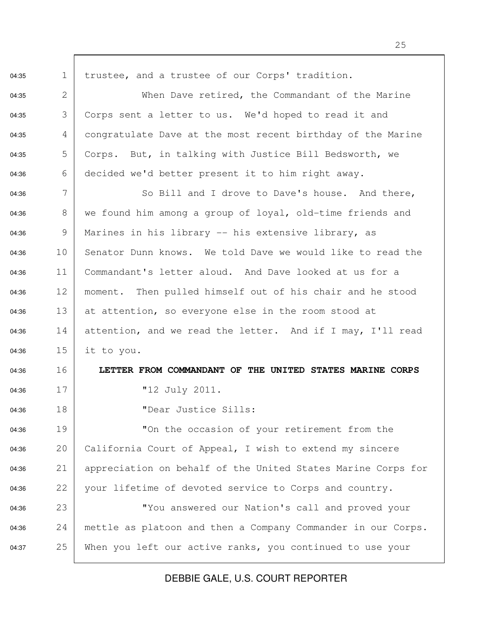04:35 1 trustee, and a trustee of our Corps' tradition. 04:35 2 When Dave retired, the Commandant of the Marine 04:35 3 Corps sent a letter to us. We'd hoped to read it and 04:35 4 congratulate Dave at the most recent birthday of the Marine 04:35 5 Corps. But, in talking with Justice Bill Bedsworth, we 04:36 6 decided we'd better present it to him right away. 04:36 7 So Bill and I drove to Dave's house. And there, 04:36  $\begin{array}{|l|} 8 & \text{we found him among a group of a } 1 \end{array}$  old-time friends and 04:36 9 | Marines in his library  $-$  his extensive library, as 04:36 10 Senator Dunn knows. We told Dave we would like to read the 04:36 11 Commandant's letter aloud. And Dave looked at us for a 04:36 12 moment. Then pulled himself out of his chair and he stood  $04:36$  13 at attention, so everyone else in the room stood at 04:36 14 attention, and we read the letter. And if I may, I'll read 04:36 15 it to you. 04:36 16 **LETTER FROM COMMANDANT OF THE UNITED STATES MARINE CORPS** 04:36 17 | "12 July 2011. 04:36 18 "Dear Justice Sills: 04:36 19 "On the occasion of your retirement from the 04:36 20 California Court of Appeal, I wish to extend my sincere 04:36 21 | appreciation on behalf of the United States Marine Corps for 04:36 22 your lifetime of devoted service to Corps and country. 04:36 23 "You answered our Nation's call and proved your 04:36 24 mettle as platoon and then a Company Commander in our Corps. 04:37 25 When you left our active ranks, you continued to use your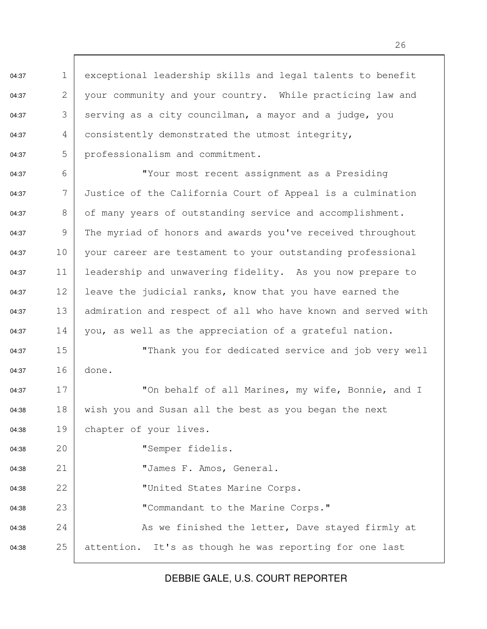04:37 1 exceptional leadership skills and legal talents to benefit 04:37 2 your community and your country. While practicing law and 04:37  $\begin{array}{|l|} 3 & \text{sevving as a city councilman, a mayor and a judge, you} \end{array}$ 04:37  $\begin{array}{c|c} 4 & \text{consistently demonstrated the utmost integrity,} \end{array}$ 04:37 5 professionalism and commitment. 04:37 6 "Your most recent assignment as a Presiding 04:37 7 Justice of the California Court of Appeal is a culmination 04:37  $\vert$  8 of many years of outstanding service and accomplishment. 04:37 9 The myriad of honors and awards you've received throughout 04:37 10 your career are testament to your outstanding professional 04:37 11 leadership and unwavering fidelity. As you now prepare to 04:37 12 leave the judicial ranks, know that you have earned the 04:37 13 admiration and respect of all who have known and served with 04:37 14 you, as well as the appreciation of a grateful nation. 04:37 15 "Thank you for dedicated service and job very well 04:37 16 done. 04:37 17 | Ton behalf of all Marines, my wife, Bonnie, and I 04:38 18 wish you and Susan all the best as you began the next 04:38 19 chapter of your lives. 04:38 20 | TSemper fidelis. 04:38 21 "James F. Amos, General. 04:38 22 "United States Marine Corps.

04:38 24 As we finished the letter, Dave stayed firmly at 04:38 25 attention. It's as though he was reporting for one last

04:38 23 "Commandant to the Marine Corps."

DEBBIE GALE, U.S. COURT REPORTER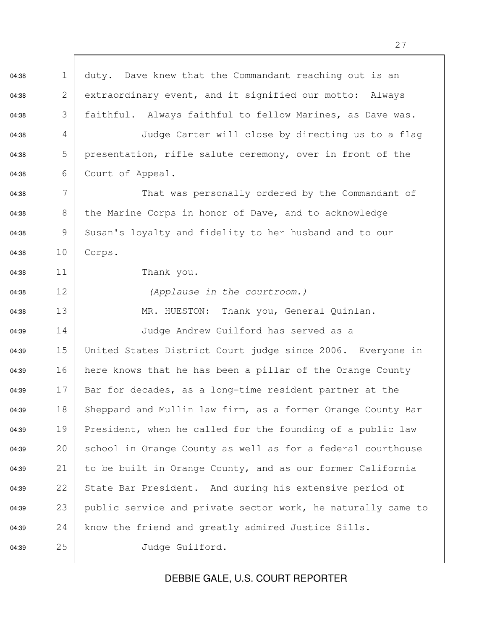$04:38$  1 duty. Dave knew that the Commandant reaching out is an 04:38 2 extraordinary event, and it signified our motto: Always 04:38 3 faithful. Always faithful to fellow Marines, as Dave was. 04:38 4 Judge Carter will close by directing us to a flag 04:38  $\qquad 5 \qquad$  presentation, rifle salute ceremony, over in front of the 04:38 6 Court of Appeal. 04:38 7 That was personally ordered by the Commandant of 04:38 8 the Marine Corps in honor of Dave, and to acknowledge 04:38 9 Susan's loyalty and fidelity to her husband and to our 04:38 10 Corps. 04:38 11 Thank you. 04:38 12 (Applause in the courtroom.) 04:38 13 MR. HUESTON: Thank you, General Quinlan. 04:39 14 Judge Andrew Guilford has served as a 04:39 15 United States District Court judge since 2006. Everyone in 04:39 16 here knows that he has been a pillar of the Orange County 04:39 17 Bar for decades, as a long-time resident partner at the 04:39 18 | Sheppard and Mullin law firm, as a former Orange County Bar 04:39 19 President, when he called for the founding of a public law 04:39 20 school in Orange County as well as for a federal courthouse 04:39 21 to be built in Orange County, and as our former California 04:39 22 State Bar President. And during his extensive period of 04:39 23 public service and private sector work, he naturally came to 04:39 24 | know the friend and greatly admired Justice Sills. 04:39 25 Judge Guilford.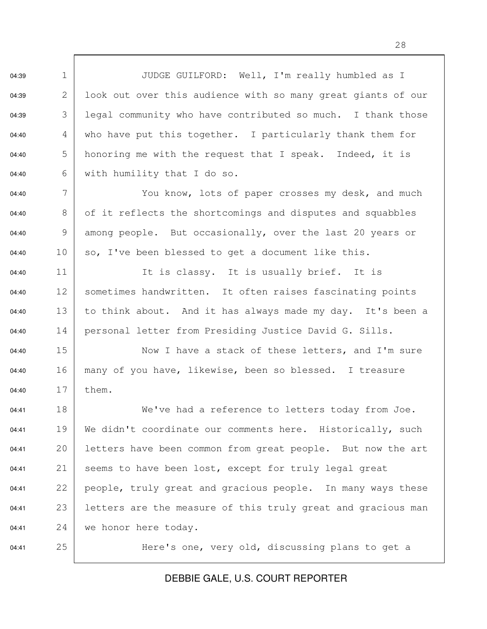04:39 1 JUDGE GUILFORD: Well, I'm really humbled as I 04:39 2 look out over this audience with so many great giants of our 04:39  $\begin{array}{c|c} \text{3} & \text{leq} \\ \text{1} & \text{1} \end{array}$  community who have contributed so much. I thank those 04:40  $\begin{array}{c|c} 4 & \text{who have put this together.} \end{array}$  I particularly thank them for 04:40  $\vert$  5 honoring me with the request that I speak. Indeed, it is 04:40 6 with humility that I do so.

04:40 7 | You know, lots of paper crosses my desk, and much 04:40  $\begin{array}{|l|} 8 & \text{of it reflects the shortcoming and disputes and squabbles} \end{array}$ 04:40 9 among people. But occasionally, over the last 20 years or 04:40 10 so, I've been blessed to get a document like this.

04:40 11 It is classy. It is usually brief. It is 04:40 12 | sometimes handwritten. It often raises fascinating points 04:40 13 to think about. And it has always made my day. It's been a 04:40 14 | personal letter from Presiding Justice David G. Sills.

04:40 15 Now I have a stack of these letters, and I'm sure 04:40 16 many of you have, likewise, been so blessed. I treasure 04:40 17 them.

04:41 18 We've had a reference to letters today from Joe. 04:41 19 | We didn't coordinate our comments here. Historically, such 04:41 20 letters have been common from great people. But now the art 04:41 21 seems to have been lost, except for truly legal great 04:41 22 people, truly great and gracious people. In many ways these 04:41 23 letters are the measure of this truly great and gracious man 04:41 24 we honor here today.

04:41 25 Here's one, very old, discussing plans to get a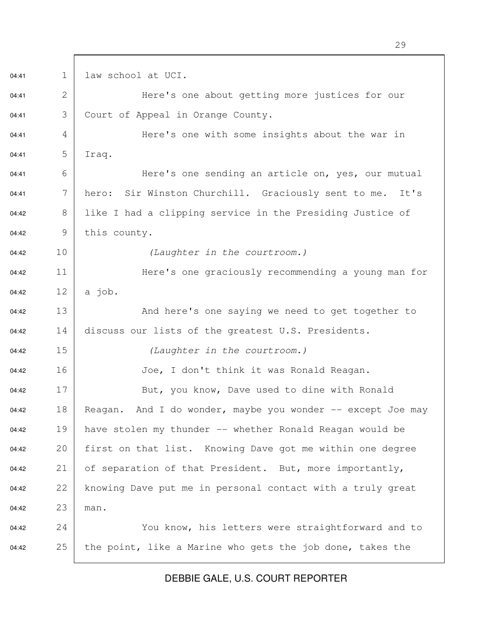04:41 1 law school at UCI. 04:41 2 Here's one about getting more justices for our 04:41 3 Court of Appeal in Orange County. 04:41 4 | Here's one with some insights about the war in 04:41 5 Iraq. 04:41 6 | Here's one sending an article on, yes, our mutual 04:41 7 | hero: Sir Winston Churchill. Graciously sent to me. It's 04:42 8 like I had a clipping service in the Presiding Justice of  $04:42$  9 this county. 04:42 10 (Laughter in the courtroom.) 04:42 11 Here's one graciously recommending a young man for 04:42  $12 \mid a \text{ job.}$ 04:42 13 And here's one saying we need to get together to  $04:42$  14 discuss our lists of the greatest U.S. Presidents. 04:42 15 (Laughter in the courtroom.) 04:42 16 Joe, I don't think it was Ronald Reagan. 04:42 17 But, you know, Dave used to dine with Ronald 04:42 18 Reagan. And I do wonder, maybe you wonder  $-$  except Joe may 04:42 19 have stolen my thunder -- whether Ronald Reagan would be 04:42 20 first on that list. Knowing Dave got me within one degree 04:42 21 of separation of that President. But, more importantly, 04:42 22 knowing Dave put me in personal contact with a truly great 04:42 23 man. 04:42 24 You know, his letters were straightforward and to 04:42 25 the point, like a Marine who gets the job done, takes the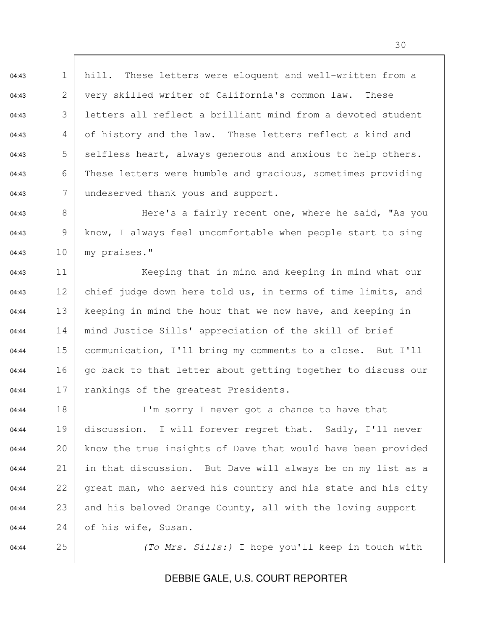04:43 1 hill. These letters were eloquent and well-written from a 04:43 2 very skilled writer of California's common law. These 04:43 3 letters all reflect a brilliant mind from a devoted student 04:43  $\begin{array}{c|c} 4 & \text{of history and the law.} \end{array}$  These letters reflect a kind and 04:43  $\qquad 5 \mid$  selfless heart, always generous and anxious to help others. 04:43 6 These letters were humble and gracious, sometimes providing  $04:43$  7 undeserved thank yous and support.

04:43 8 | Here's a fairly recent one, where he said, "As you 04:43 9 | know, I always feel uncomfortable when people start to sing 04:43 10 my praises."

04:43 11 Keeping that in mind and keeping in mind what our 04:43 12 chief judge down here told us, in terms of time limits, and 04:44 13 keeping in mind the hour that we now have, and keeping in 04:44 14 mind Justice Sills' appreciation of the skill of brief 04:44 15 communication, I'll bring my comments to a close. But I'll 04:44 16 | go back to that letter about getting together to discuss our 04:44 17 rankings of the greatest Presidents.

04:44 18 I'm sorry I never got a chance to have that 04:44 19 discussion. I will forever regret that. Sadly, I'll never 04:44 20 know the true insights of Dave that would have been provided 04:44 21 in that discussion. But Dave will always be on my list as a  $04:44$  22 great man, who served his country and his state and his city 04:44 23 and his beloved Orange County, all with the loving support  $04:44$  24 of his wife, Susan.

04:44 25 (To Mrs. Sills:) I hope you'll keep in touch with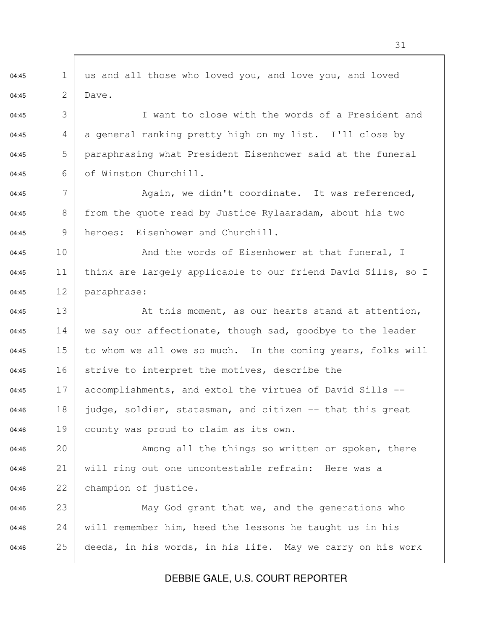04:45 1 us and all those who loved you, and love you, and loved 04:45 2 Dave. 04:45 3 I want to close with the words of a President and 04:45  $\begin{array}{c|c} 4 & a \neq b \end{array}$  a general ranking pretty high on my list. I'll close by 04:45  $\overline{5}$  paraphrasing what President Eisenhower said at the funeral 04:45 6 of Winston Churchill. 04:45  $\begin{array}{c|c} 7 & \text{Again, we didn't coordinate. It was referenced,} \end{array}$ 04:45 8 | from the quote read by Justice Rylaarsdam, about his two 04:45 9 heroes: Eisenhower and Churchill. 04:45 10 And the words of Eisenhower at that funeral, I 04:45 11 | think are largely applicable to our friend David Sills, so I 04:45 12 paraphrase: 04:45 13  $\vert$  2 At this moment, as our hearts stand at attention, 04:45 14 we say our affectionate, though sad, goodbye to the leader 04:45 15 to whom we all owe so much. In the coming years, folks will 04:45 16 strive to interpret the motives, describe the 04:45 17 accomplishments, and extol the virtues of David Sills  $-$ 04:46 18 judge, soldier, statesman, and citizen  $-$  that this great 04:46 19 county was proud to claim as its own. 04:46 20 Among all the things so written or spoken, there 04:46 21 will ring out one uncontestable refrain: Here was a 04:46 22 champion of justice. 04:46 23 | May God grant that we, and the generations who 04:46 24 will remember him, heed the lessons he taught us in his 04:46 25 deeds, in his words, in his life. May we carry on his work

DEBBIE GALE, U.S. COURT REPORTER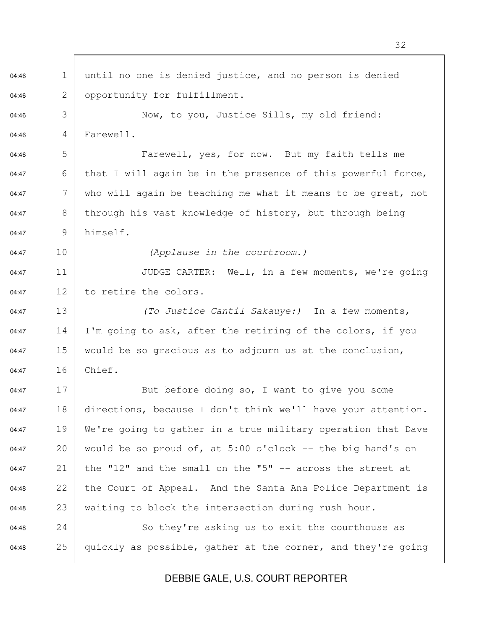04:46 1 until no one is denied justice, and no person is denied 04:46 2 | opportunity for fulfillment. 04:46 3 Now, to you, Justice Sills, my old friend: 04:46 4 Farewell. 04:46 5 Farewell, yes, for now. But my faith tells me 04:47 6 | that I will again be in the presence of this powerful force, 04:47  $\blacksquare$  7 | who will again be teaching me what it means to be great, not 04:47 8 through his vast knowledge of history, but through being 04:47 9 himself. 04:47 10 (Applause in the courtroom.) 04:47 11 JUDGE CARTER: Well, in a few moments, we're going 04:47 12 to retire the colors. 04:47 13 (To Justice Cantil-Sakauye:) In a few moments, 04:47 14 I'm going to ask, after the retiring of the colors, if you 04:47 15 would be so gracious as to adjourn us at the conclusion, 04:47 16 Chief. 04:47 17 But before doing so, I want to give you some 04:47 18 directions, because I don't think we'll have your attention. 04:47 19 | We're going to gather in a true military operation that Dave 04:47 20 would be so proud of, at  $5:00$  o'clock  $-$  the big hand's on 04:47 21 the "12" and the small on the "5"  $-$  across the street at 04:48 22 the Court of Appeal. And the Santa Ana Police Department is 04:48 23 waiting to block the intersection during rush hour. 04:48 24 So they're asking us to exit the courthouse as 04:48 25 quickly as possible, gather at the corner, and they're going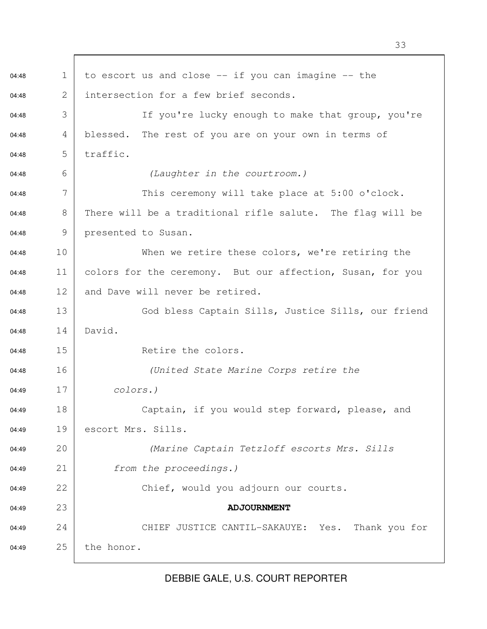$04:48$  1 to escort us and close  $-$  if you can imagine  $-$  the  $04:48$  2 intersection for a few brief seconds. 04:48 3 | Tf you're lucky enough to make that group, you're  $04:48$  4 blessed. The rest of you are on your own in terms of  $04:48$  5 traffic. 04:48 6 6 (Laughter in the courtroom.) 04:48  $\begin{array}{c|c|c|c|c|c} \hline \text{04:48} & \text{7} & \text{This are } 7 & \text{This are } 7 & \text{and } 7 & \text{and } 7 & \text{and } 7 & \text{and } 7 & \text{and } 7 & \text{and } 7 & \text{and } 7 & \text{and } 7 & \text{and } 7 & \text{and } 7 & \text{and } 7 & \text{and } 7 & \text{and } 7 & \text{and } 7 & \text{and } 7 & \text{and } 7 & \text{and } 7 & \text{and } 7 & \text{and } 7 & \text{and } 7 &$ 04:48  $\begin{array}{|l|} 8 & \text{There will be a traditional rifle salute.} \end{array}$  The flag will be 04:48 9 presented to Susan. 04:48 10 When we retire these colors, we're retiring the 04:48 11 colors for the ceremony. But our affection, Susan, for you  $04:48$  12 and Dave will never be retired. 04:48 13 God bless Captain Sills, Justice Sills, our friend 04:48 14 David. 04:48 15 Retire the colors. 04:48 16 (United State Marine Corps retire the 04:49 17 *colors.*) 04:49 18 Captain, if you would step forward, please, and 04:49 19 escort Mrs. Sills. 04:49 20 (Marine Captain Tetzloff escorts Mrs. Sills 04:49 21 from the proceedings.) 04:49 22 Chief, would you adjourn our courts. 04:49 23 **ADJOURNMENT** 04:49 24 CHIEF JUSTICE CANTIL-SAKAUYE: Yes. Thank you for 04:49 25 the honor.